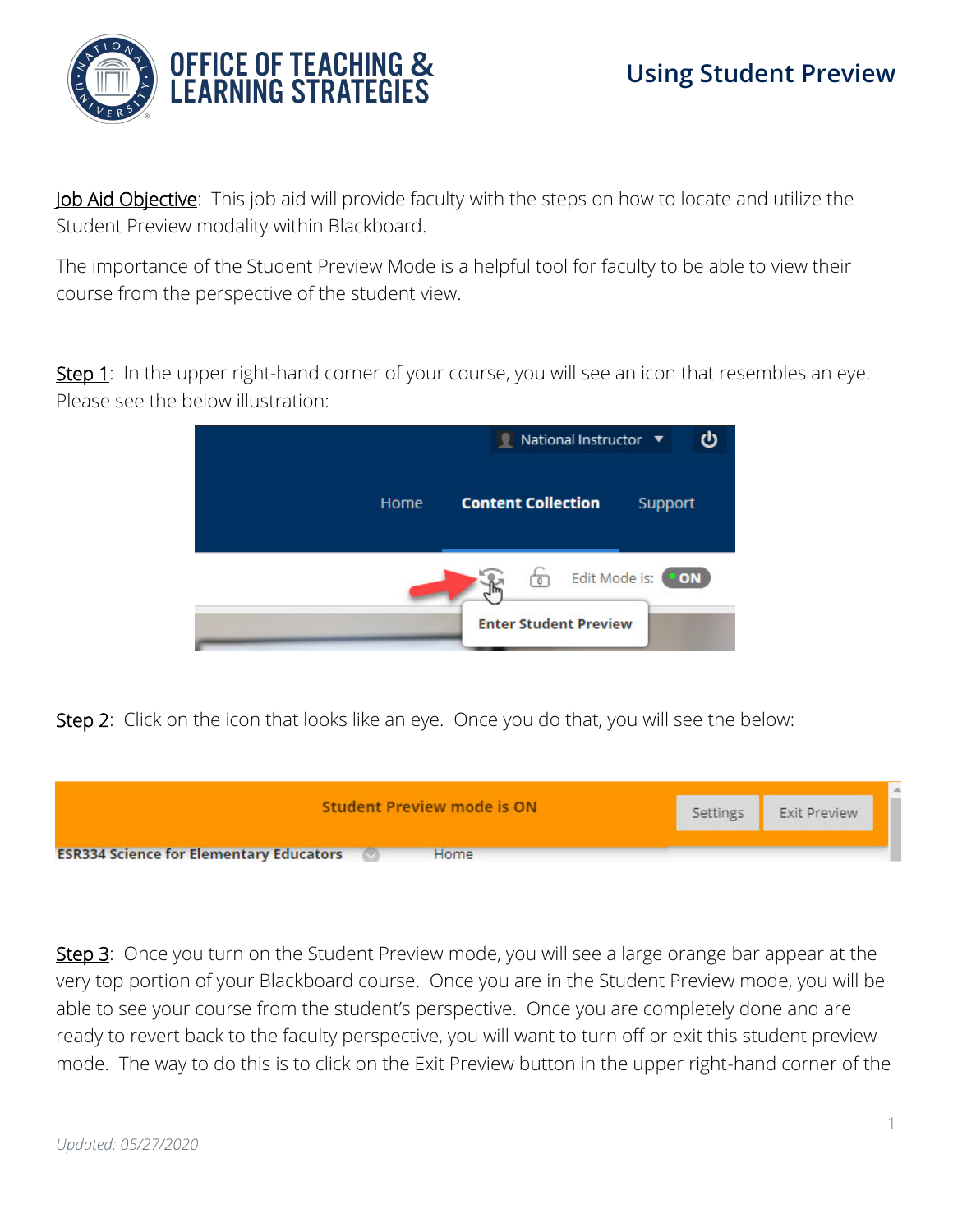

Job Aid Objective: This job aid will provide faculty with the steps on how to locate and utilize the Student Preview modality within Blackboard.

The importance of the Student Preview Mode is a helpful tool for faculty to be able to view their course from the perspective of the student view.

Step 1: In the upper right-hand corner of your course, you will see an icon that resembles an eye. Please see the below illustration:



Step 2: Click on the icon that looks like an eye. Once you do that, you will see the below:



Step 3: Once you turn on the Student Preview mode, you will see a large orange bar appear at the very top portion of your Blackboard course. Once you are in the Student Preview mode, you will be able to see your course from the student's perspective. Once you are completely done and are ready to revert back to the faculty perspective, you will want to turn off or exit this student preview mode. The way to do this is to click on the Exit Preview button in the upper right-hand corner of the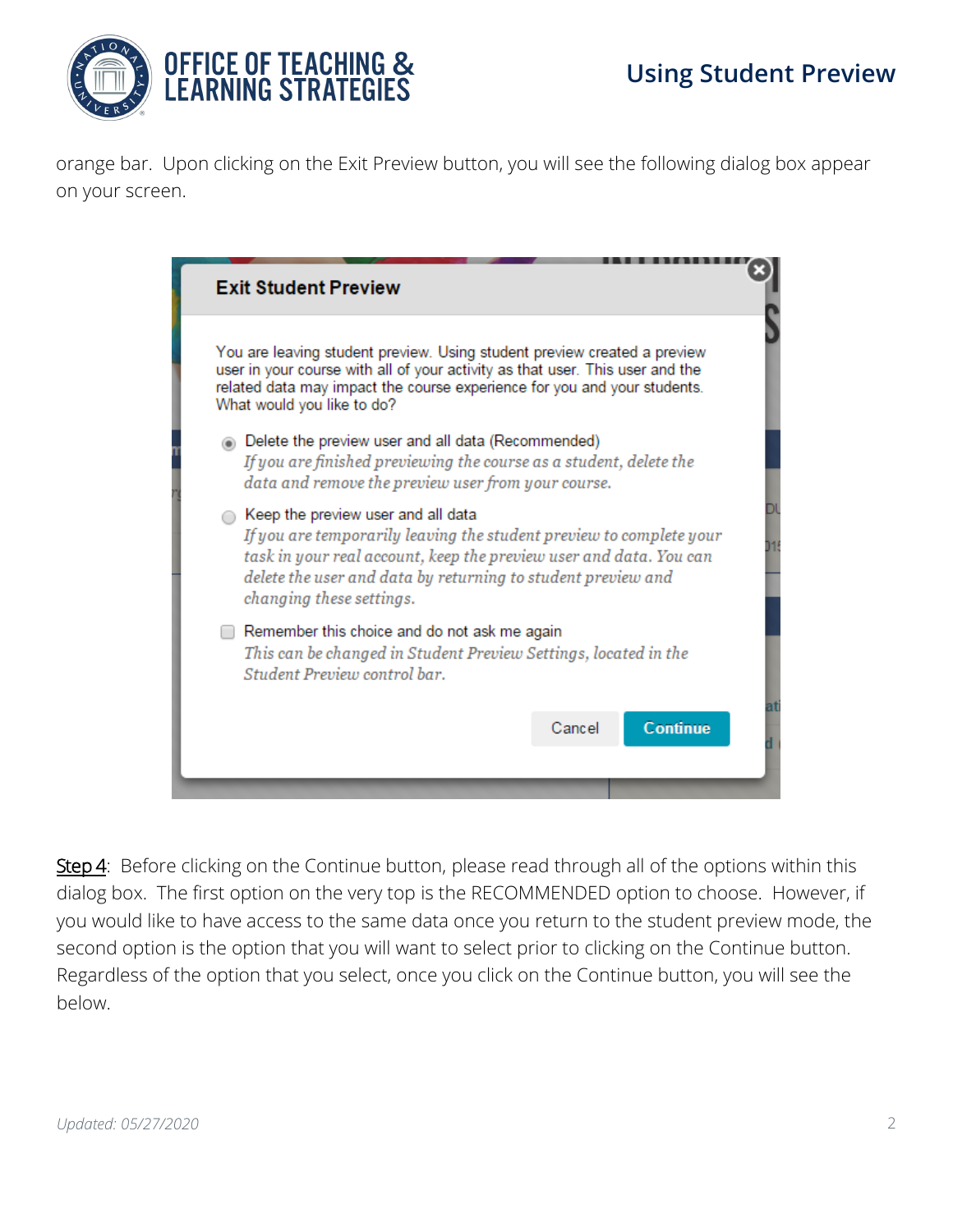

orange bar. Upon clicking on the Exit Preview button, you will see the following dialog box appear on your screen.

| You are leaving student preview. Using student preview created a preview<br>user in your course with all of your activity as that user. This user and the<br>related data may impact the course experience for you and your students.<br>What would you like to do?           |  |
|-------------------------------------------------------------------------------------------------------------------------------------------------------------------------------------------------------------------------------------------------------------------------------|--|
| Delete the preview user and all data (Recommended)<br>If you are finished previewing the course as a student, delete the<br>data and remove the preview user from your course.                                                                                                |  |
| ◯ Keep the preview user and all data<br>If you are temporarily leaving the student preview to complete your<br>task in your real account, keep the preview user and data. You can<br>delete the user and data by returning to student preview and<br>changing these settings. |  |
| Remember this choice and do not ask me again<br>This can be changed in Student Preview Settings, located in the<br>Student Preview control bar.                                                                                                                               |  |
| <b>Continue</b><br>Cancel                                                                                                                                                                                                                                                     |  |

Step 4: Before clicking on the Continue button, please read through all of the options within this dialog box. The first option on the very top is the RECOMMENDED option to choose. However, if you would like to have access to the same data once you return to the student preview mode, the second option is the option that you will want to select prior to clicking on the Continue button. Regardless of the option that you select, once you click on the Continue button, you will see the below.